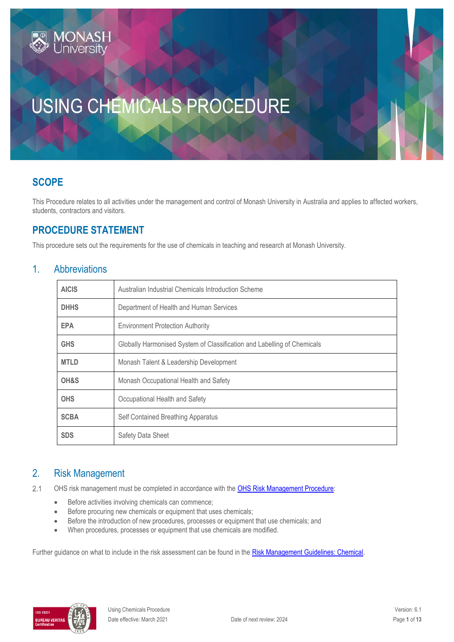# USING CHEMICALS PROCEDURE

# **SCOPE**

This Procedure relates to all activities under the management and control of Monash University in Australia and applies to affected workers, students, contractors and visitors.

# **PROCEDURE STATEMENT**

This procedure sets out the requirements for the use of chemicals in teaching and research at Monash University.

### 1. Abbreviations

| <b>AICIS</b> | Australian Industrial Chemicals Introduction Scheme                     |  |
|--------------|-------------------------------------------------------------------------|--|
| <b>DHHS</b>  | Department of Health and Human Services                                 |  |
| <b>EPA</b>   | <b>Environment Protection Authority</b>                                 |  |
| <b>GHS</b>   | Globally Harmonised System of Classification and Labelling of Chemicals |  |
| <b>MTLD</b>  | Monash Talent & Leadership Development                                  |  |
| OH&S         | Monash Occupational Health and Safety                                   |  |
| <b>OHS</b>   | Occupational Health and Safety                                          |  |
| <b>SCBA</b>  | Self Contained Breathing Apparatus                                      |  |
| <b>SDS</b>   | Safety Data Sheet                                                       |  |

## 2. Risk Management

 $2.1$ OHS risk management must be completed in accordance with the **OHS Risk Management Procedure**:

- **•** Before activities involving chemicals can commence;
- Before procuring new chemicals or equipment that uses chemicals;
- Before the introduction of new procedures, processes or equipment that use chemicals; and
- When procedures, processes or equipment that use chemicals are modified.

Further guidance on what to include in the risk assessment can be found in th[e Risk Management Guidelines: Chemical.](https://www.monash.edu/__data/assets/pdf_file/0004/189517/risk-management-chemical.pdf)

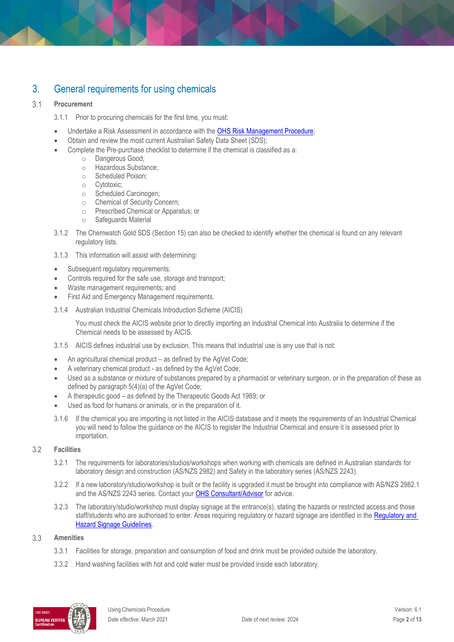# 3. General requirements for using chemicals

#### $3.1$ **Procurement**

3.1.1 Prior to procuring chemicals for the first time, you must:

- Undertake a Risk Assessment in accordance with the [OHS Risk Management Procedure;](https://publicpolicydms.monash.edu/Monash/documents/1935636)
- Obtain and review the most current Australian Safety Data Sheet (SDS);
- Complete the Pre-purchase checklist to determine if the chemical is classified as a:
	- o Dangerous Good;
	- o Hazardous Substance;
	- o Scheduled Poison;
	- o Cytotoxic;
	- o Scheduled Carcinogen;
	- o Chemical of Security Concern;
	- o Prescribed Chemical or Apparatus; or
	- o Safeguards Material
- 3.1.2 The Chemwatch Gold SDS (Section 15) can also be checked to identify whether the chemical is found on any relevant regulatory lists.
- 3.1.3 This information will assist with determining:
- Subsequent regulatory requirements;
- Controls required for the safe use, storage and transport;
- Waste management requirements; and
- First Aid and Emergency Management requirements.
- 3.1.4 Australian Industrial Chemicals Introduction Scheme (AICIS)

You must check the AICIS website prior to directly importing an Industrial Chemical into Australia to determine if the Chemical needs to be assessed by AICIS.

- 3.1.5 AICIS defines industrial use by exclusion. This means that industrial use is any use that is not:
- An agricultural chemical product as defined by the AgVet Code;
- A veterinary chemical product as defined by the AgVet Code;
- Used as a substance or mixture of substances prepared by a pharmacist or veterinary surgeon, or in the preparation of these as defined by paragraph 5(4)(a) of the AgVet Code;
- A therapeutic good as defined by the Therapeutic Goods Act 1989; or
- Used as food for humans or animals, or in the preparation of it.
- 3.1.6 If the chemical you are importing is not listed in the AICIS database and it meets the requirements of an Industrial Chemical you will need to follow the guidance on the AICIS to register the Industrial Chemical and ensure it is assessed prior to importation.

#### $3.2$ **Facilities**

- 3.2.1 The requirements for laboratories/studios/workshops when working with chemicals are defined in Australian standards for laboratory design and construction (AS/NZS 2982) and Safety in the laboratory series (AS/NZS 2243).
- 3.2.2 If a new laboratory/studio/workshop is built or the facility is upgraded it must be brought into compliance with AS/NZS 2982.1 and the AS/NZS 2243 series. Contact your **OHS Consultant/Advisor** for advice.
- 3.2.3 The laboratory/studio/workshop must display signage at the entrance(s), stating the hazards or restricted access and those staff/students who are authorised to enter. Areas requiring regulatory or hazard signage are identified in the Regulatory and [Hazard Signage Guidelines.](http://www.monash.edu/__data/assets/pdf_file/0019/147061/signage.pdf)

#### 3.3 **Amenities**

- 3.3.1 Facilities for storage, preparation and consumption of food and drink must be provided outside the laboratory.
- 3.3.2 Hand washing facilities with hot and cold water must be provided inside each laboratory.

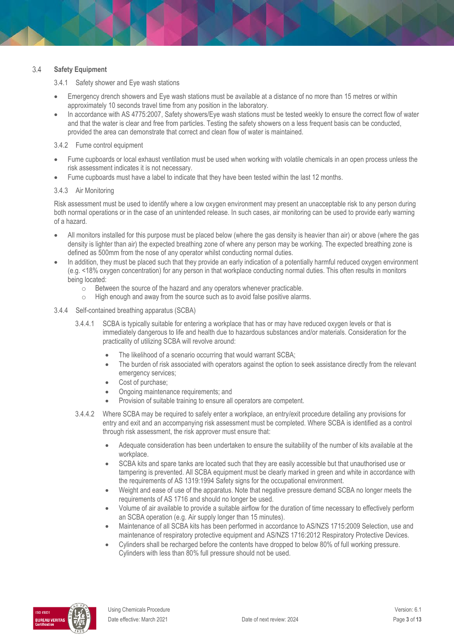#### 3.4 **Safety Equipment**

3.4.1 Safety shower and Eye wash stations

- Emergency drench showers and Eye wash stations must be available at a distance of no more than 15 metres or within approximately 10 seconds travel time from any position in the laboratory.
- In accordance with AS 4775:2007, Safety showers/Eye wash stations must be tested weekly to ensure the correct flow of water and that the water is clear and free from particles. Testing the safety showers on a less frequent basis can be conducted, provided the area can demonstrate that correct and clean flow of water is maintained.

### 3.4.2 Fume control equipment

- Fume cupboards or local exhaust ventilation must be used when working with volatile chemicals in an open process unless the risk assessment indicates it is not necessary.
- Fume cupboards must have a label to indicate that they have been tested within the last 12 months.

### 3.4.3 Air Monitoring

Risk assessment must be used to identify where a low oxygen environment may present an unacceptable risk to any person during both normal operations or in the case of an unintended release. In such cases, air monitoring can be used to provide early warning of a hazard.

- All monitors installed for this purpose must be placed below (where the gas density is heavier than air) or above (where the gas density is lighter than air) the expected breathing zone of where any person may be working. The expected breathing zone is defined as 500mm from the nose of any operator whilst conducting normal duties.
- In addition, they must be placed such that they provide an early indication of a potentially harmful reduced oxygen environment (e.g. <18% oxygen concentration) for any person in that workplace conducting normal duties. This often results in monitors being located:
	- o Between the source of the hazard and any operators whenever practicable.
	- o High enough and away from the source such as to avoid false positive alarms.

### 3.4.4 Self-contained breathing apparatus (SCBA)

- 3.4.4.1 SCBA is typically suitable for entering a workplace that has or may have reduced oxygen levels or that is immediately dangerous to life and health due to hazardous substances and/or materials. Consideration for the practicality of utilizing SCBA will revolve around:
	- The likelihood of a scenario occurring that would warrant SCBA;
	- The burden of risk associated with operators against the option to seek assistance directly from the relevant emergency services;
	- Cost of purchase;
	- Ongoing maintenance requirements; and
	- Provision of suitable training to ensure all operators are competent.
- 3.4.4.2 Where SCBA may be required to safely enter a workplace, an entry/exit procedure detailing any provisions for entry and exit and an accompanying risk assessment must be completed. Where SCBA is identified as a control through risk assessment, the risk approver must ensure that:
	- Adequate consideration has been undertaken to ensure the suitability of the number of kits available at the workplace.
	- SCBA kits and spare tanks are located such that they are easily accessible but that unauthorised use or tampering is prevented. All SCBA equipment must be clearly marked in green and white in accordance with the requirements of AS 1319:1994 Safety signs for the occupational environment.
	- Weight and ease of use of the apparatus. Note that negative pressure demand SCBA no longer meets the requirements of AS 1716 and should no longer be used.
	- Volume of air available to provide a suitable airflow for the duration of time necessary to effectively perform an SCBA operation (e.g. Air supply longer than 15 minutes).
	- Maintenance of all SCBA kits has been performed in accordance to AS/NZS 1715:2009 Selection, use and maintenance of respiratory protective equipment and AS/NZS 1716:2012 Respiratory Protective Devices.
	- Cylinders shall be recharged before the contents have dropped to below 80% of full working pressure. Cylinders with less than 80% full pressure should not be used.

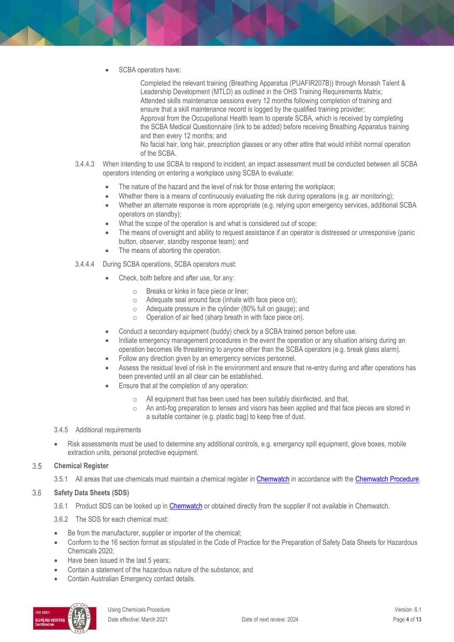SCBA operators have:

Completed the relevant training (Breathing Apparatus (PUAFIR207B)) through Monash Talent & Leadership Development (MTLD) as outlined in the OHS Training Requirements Matrix; Attended skills maintenance sessions every 12 months following completion of training and ensure that a skill maintenance record is logged by the qualified training provider; Approval from the Occupational Health team to operate SCBA, which is received by completing

the SCBA Medical Questionnaire (link to be added) before receiving Breathing Apparatus training and then every 12 months; and

No facial hair, long hair, prescription glasses or any other attire that would inhibit normal operation of the SCBA.

- 3.4.4.3 When intending to use SCBA to respond to incident, an impact assessment must be conducted between all SCBA operators intending on entering a workplace using SCBA to evaluate:
	- The nature of the hazard and the level of risk for those entering the workplace;
	- Whether there is a means of continuously evaluating the risk during operations (e.g. air monitoring);
	- Whether an alternate response is more appropriate (e.g. relying upon emergency services, additional SCBA operators on standby);
	- What the scope of the operation is and what is considered out of scope;
	- The means of oversight and ability to request assistance if an operator is distressed or unresponsive (panic button, observer, standby response team); and
	- The means of aborting the operation.
- 3.4.4.4 During SCBA operations, SCBA operators must:
	- Check, both before and after use, for any:
		- o Breaks or kinks in face piece or liner;
		- o Adequate seal around face (inhale with face piece on);
		- o Adequate pressure in the cylinder (80% full on gauge); and
		- o Operation of air feed (sharp breath in with face piece on).
	- Conduct a secondary equipment (buddy) check by a SCBA trained person before use.
	- Initiate emergency management procedures in the event the operation or any situation arising during an operation becomes life threatening to anyone other than the SCBA operators (e.g. break glass alarm).
	- Follow any direction given by an emergency services personnel.
	- Assess the residual level of risk in the environment and ensure that re-entry during and after operations has been prevented until an all clear can be established.
	- Ensure that at the completion of any operation:
		- o All equipment that has been used has been suitably disinfected, and that,
		- $\circ$  An anti-fog preparation to lenses and visors has been applied and that face pieces are stored in a suitable container (e.g. plastic bag) to keep free of dust.

### 3.4.5 Additional requirements

 Risk assessments must be used to determine any additional controls, e.g. emergency spill equipment, glove boxes, mobile extraction units, personal protective equipment.

#### 3.5 **Chemical Register**

3.5.1 All areas that use chemicals must maintain a chemical register i[n Chemwatch](https://www.monash.edu/ohs/info-docs/safety-topics/chemical-management/chemwatch) in accordance with the [Chemwatch Procedure.](https://publicpolicydms.monash.edu/Monash/documents/1935604)

#### 3.6 **Safety Data Sheets (SDS)**

- 3.6.1 Product SDS can be looked up in [Chemwatch](https://www.monash.edu/ohs/info-docs/safety-topics/chemical-management/chemwatch) or obtained directly from the supplier if not available in Chemwatch.
- 3.6.2 The SDS for each chemical must:
- Be from the manufacturer, supplier or importer of the chemical;
- Conform to the 16 section format as stipulated in the Code of Practice for the Preparation of Safety Data Sheets for Hazardous Chemicals 2020;
- Have been issued in the last 5 years;
- Contain a statement of the hazardous nature of the substance; and
- Contain Australian Emergency contact details.

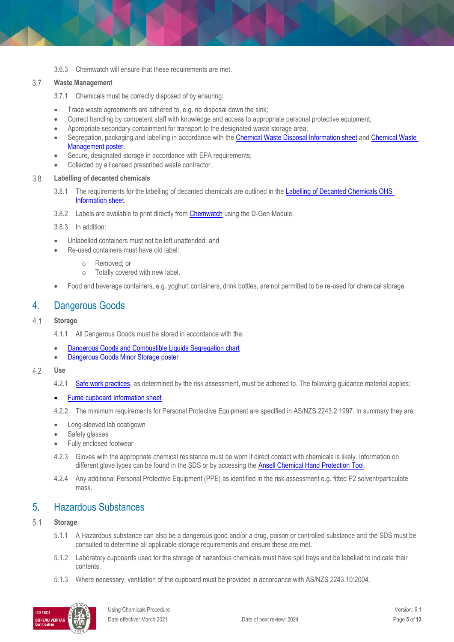3.6.3 Chemwatch will ensure that these requirements are met.

#### 3.7 **Waste Management**

- 3.7.1 Chemicals must be correctly disposed of by ensuring:
- Trade waste agreements are adhered to, e.g. no disposal down the sink;
- Correct handling by competent staff with knowledge and access to appropriate personal protective equipment;
- Appropriate secondary containment for transport to the designated waste storage area;
- Segregation, packaging and labelling in accordance with th[e Chemical Waste Disposal Information sheet](http://www.monash.edu/ohs/info-docs/safety-topics/chemical-management/waste-disposal) and Chemical Waste [Management poster.](http://www.monash.edu/__data/assets/pdf_file/0010/670609/chemical-waste-poster.pdf)
- Secure, designated storage in accordance with EPA requirements;
- Collected by a licensed prescribed waste contractor.

#### $3.8$ **Labelling of decanted chemicals**

- 3.8.1 The requirements for the labelling of decanted chemicals are outlined in the Labelling of Decanted Chemicals OHS [Information sheet.](http://www.monash.edu/ohs/info-docs/safety-topics/chemical-management/labelling-of-decanted-chemicals-ohs-information-sheet)
- 3.8.2 Labels are available to print directly from [Chemwatch](https://www.monash.edu/ohs/info-docs/safety-topics/chemical-management/chemwatch) using the D-Gen Module.
- 3.8.3 In addition:
- Unlabelled containers must not be left unattended; and
	- Re-used containers must have old label:
		- o Removed; or
		- o Totally covered with new label.
- Food and beverage containers, e.g. yoghurt containers, drink bottles, are not permitted to be re-used for chemical storage.

### 4. Dangerous Goods

- $4.1$ **Storage**
	- 4.1.1 All Dangerous Goods must be stored in accordance with the:
	- **[Dangerous Goods and Combustible Liquids Segregation chart](https://www.monash.edu/__data/assets/pdf_file/0007/148588/Segregation-chart.pdf)**
	- **[Dangerous Goods Minor Storage poster](https://www.monash.edu/__data/assets/pdf_file/0008/148589/Chemical-storage-poster.pdf)**

#### $4.2$ **Use**

4.2.1 [Safe work practices,](https://www.monash.edu/__data/assets/pdf_file/0008/147059/safe-work-instructions.pdf) as determined by the risk assessment, must be adhered to. The following guidance material applies:

### • [Fume cupboard Information sheet](https://www.monash.edu/ohs/info-docs/safety-topics/chemical-management/use-of-local-exhaust-ventilation-systems-fume-cupboards)

- 4.2.2 The minimum requirements for Personal Protective Equipment are specified in AS/NZS 2243.2:1997. In summary they are:
- Long-sleeved lab coat/gown
- Safety glasses
- Fully enclosed footwear
- 4.2.3 Gloves with the appropriate chemical resistance must be worn if direct contact with chemicals is likely. Information on different glove types can be found in the SDS or by accessing the **Ansell Chemical Hand Protection Tool**.
- 4.2.4 Any additional Personal Protective Equipment (PPE) as identified in the risk assessment e.g. fitted P2 solvent/particulate mask.

### 5. Hazardous Substances

#### $5.1$ **Storage**

- 5.1.1 A Hazardous substance can also be a dangerous good and/or a drug, poison or controlled substance and the SDS must be consulted to determine all applicable storage requirements and ensure these are met.
- 5.1.2 Laboratory cupboards used for the storage of hazardous chemicals must have spill trays and be labelled to indicate their contents.
- 5.1.3 Where necessary, ventilation of the cupboard must be provided in accordance with AS/NZS 2243.10:2004.

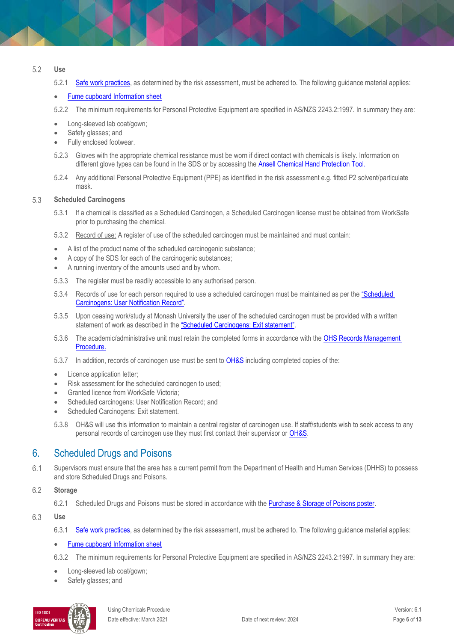#### 5.2 **Use**

5.2.1 [Safe work practices,](https://www.monash.edu/__data/assets/pdf_file/0008/147059/safe-work-instructions.pdf) as determined by the risk assessment, must be adhered to. The following guidance material applies:

### • [Fume cupboard Information sheet](https://www.monash.edu/ohs/info-docs/safety-topics/chemical-management/use-of-local-exhaust-ventilation-systems-fume-cupboards)

- 5.2.2 The minimum requirements for Personal Protective Equipment are specified in AS/NZS 2243.2:1997. In summary they are:
- Long-sleeved lab coat/gown;
- Safety glasses; and
- Fully enclosed footwear.
- 5.2.3 Gloves with the appropriate chemical resistance must be worn if direct contact with chemicals is likely. Information on different glove types can be found in the SDS or by accessing the [Ansell Chemical Hand Protection Tool.](https://www.ansellguardianpartner.com/chemical/home#hp)
- 5.2.4 Any additional Personal Protective Equipment (PPE) as identified in the risk assessment e.g. fitted P2 solvent/particulate mask.

#### 5.3 **Scheduled Carcinogens**

- 5.3.1 If a chemical is classified as a Scheduled Carcinogen, a Scheduled Carcinogen license must be obtained from WorkSafe prior to purchasing the chemical.
- 5.3.2 Record of use: A register of use of the scheduled carcinogen must be maintained and must contain:
- A list of the product name of the scheduled carcinogenic substance;
- A copy of the SDS for each of the carcinogenic substances;
- A running inventory of the amounts used and by whom.
- 5.3.3 The register must be readily accessible to any authorised person.
- 5.3.4 Records of use for each person required to use a scheduled carcinogen must be maintained as per the "Scheduled [Carcinogens: User Notification Record"](http://www.monash.edu/__data/assets/word_doc/0015/113712/carcinogen-user-forms.docx).
- 5.3.5 Upon ceasing work/study at Monash University the user of the scheduled carcinogen must be provided with a written statement of work as described in the ["Scheduled Carcinogens: Exit statement"](http://www.monash.edu/__data/assets/word_doc/0015/113712/carcinogen-user-forms.docx).
- 5.3.6 The academic/administrative unit must retain the completed forms in accordance with th[e OHS Records Management](https://publicpolicydms.monash.edu/Monash/documents/1935642)  [Procedure.](https://publicpolicydms.monash.edu/Monash/documents/1935642)
- 5.3.7 In addition, records of carcinogen use must be sent to **OH&S** including completed copies of the:
- Licence application letter;
- Risk assessment for the scheduled carcinogen to used;
- Granted licence from WorkSafe Victoria;
- Scheduled carcinogens: User Notification Record; and
- Scheduled Carcinogens: Exit statement.
- 5.3.8 OH&S will use this information to maintain a central register of carcinogen use. If staff/students wish to seek access to any personal records of carcinogen use they must first contact their supervisor or [OH&S.](http://monash.edu/ohs/AboutUs)

### 6. Scheduled Drugs and Poisons

- $6.1$ Supervisors must ensure that the area has a current permit from the Department of Health and Human Services (DHHS) to possess and store Scheduled Drugs and Poisons.
- 6.2 **Storage**
	- 6.2.1 Scheduled Drugs and Poisons must be stored in accordance with the [Purchase & Storage of Poisons poster.](http://www.monash.edu/__data/assets/pdf_file/0003/150474/poisons.pdf)
- 6.3 **Use**
	- 6.3.1 [Safe work practices,](https://www.monash.edu/__data/assets/pdf_file/0008/147059/safe-work-instructions.pdf) as determined by the risk assessment, must be adhered to. The following guidance material applies:
	- [Fume cupboard Information sheet](https://www.monash.edu/ohs/info-docs/safety-topics/chemical-management/use-of-local-exhaust-ventilation-systems-fume-cupboards)
	- 6.3.2 The minimum requirements for Personal Protective Equipment are specified in AS/NZS 2243.2:1997. In summary they are:
	- Long-sleeved lab coat/gown;
	- Safety glasses; and

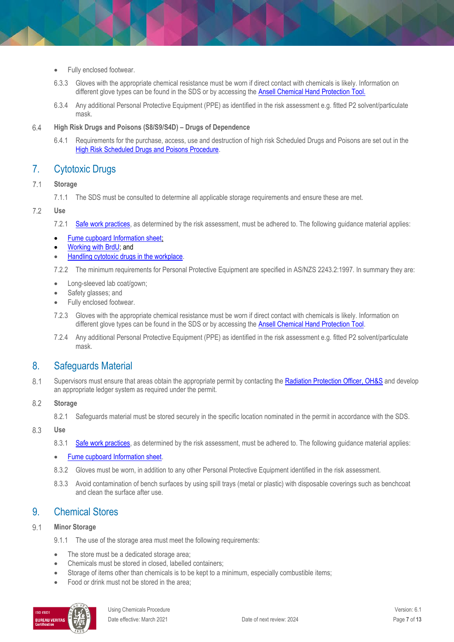- Fully enclosed footwear.
- 6.3.3 Gloves with the appropriate chemical resistance must be worn if direct contact with chemicals is likely. Information on different glove types can be found in the SDS or by accessing the [Ansell Chemical Hand Protection Tool.](https://www.ansellguardianpartner.com/chemical/home#hp)
- 6.3.4 Any additional Personal Protective Equipment (PPE) as identified in the risk assessment e.g. fitted P2 solvent/particulate mask.

#### **High Risk Drugs and Poisons (S8/S9/S4D) – Drugs of Dependence** 6.4

6.4.1 Requirements for the purchase, access, use and destruction of high risk Scheduled Drugs and Poisons are set out in the [High Risk Scheduled Drugs and Poisons Procedure.](https://publicpolicydms.monash.edu/Monash/documents/1935637)

### 7. Cytotoxic Drugs

#### $7.1$ **Storage**

7.1.1 The SDS must be consulted to determine all applicable storage requirements and ensure these are met.

#### $7.2$ **Use**

- 7.2.1 [Safe work practices,](https://www.monash.edu/__data/assets/pdf_file/0008/147059/safe-work-instructions.pdf) as determined by the risk assessment, must be adhered to. The following guidance material applies:
- [Fume cupboard Information sheet;](https://www.monash.edu/ohs/info-docs/safety-topics/chemical-management/use-of-local-exhaust-ventilation-systems-fume-cupboards)
- [Working with BrdU;](https://www.monash.edu/ohs/info-docs/safety-topics/chemical-management/working-with-bromodeoxyuridine-brdu-ohs-information-sheet) and
- [Handling cytotoxic drugs in the workplace.](http://www.worksafe.vic.gov.au/forms-and-publications/forms-and-publications/handling-cytotoxic-drugs-in-the-workplace)

7.2.2 The minimum requirements for Personal Protective Equipment are specified in AS/NZS 2243.2:1997. In summary they are:

- Long-sleeved lab coat/gown;
- Safety glasses; and
- Fully enclosed footwear.
- 7.2.3 Gloves with the appropriate chemical resistance must be worn if direct contact with chemicals is likely. Information on different glove types can be found in the SDS or by accessing the [Ansell Chemical Hand Protection Tool.](https://www.ansellguardianpartner.com/chemical/home#hp)
- 7.2.4 Any additional Personal Protective Equipment (PPE) as identified in the risk assessment e.g. fitted P2 solvent/particulate mask.

### 8. Safeguards Material

- 8.1 Supervisors must ensure that areas obtain the appropriate permit by contacting the [Radiation Protection Officer, OH&S](http://monash.edu/ohs/AboutUs) and develop an appropriate ledger system as required under the permit.
- 8.2 **Storage**
	- 8.2.1 Safeguards material must be stored securely in the specific location nominated in the permit in accordance with the SDS.
- 8.3 **Use**
	- 8.3.1 [Safe work practices,](https://www.monash.edu/__data/assets/pdf_file/0008/147059/safe-work-instructions.pdf) as determined by the risk assessment, must be adhered to. The following guidance material applies:

### • [Fume cupboard Information sheet.](https://www.monash.edu/ohs/info-docs/safety-topics/chemical-management/use-of-local-exhaust-ventilation-systems-fume-cupboards)

- 8.3.2 Gloves must be worn, in addition to any other Personal Protective Equipment identified in the risk assessment.
- 8.3.3 Avoid contamination of bench surfaces by using spill trays (metal or plastic) with disposable coverings such as benchcoat and clean the surface after use.

### 9. Chemical Stores

#### $9.1$ **Minor Storage**

- 9.1.1 The use of the storage area must meet the following requirements:
- The store must be a dedicated storage area;
- Chemicals must be stored in closed, labelled containers;
- Storage of items other than chemicals is to be kept to a minimum, especially combustible items;
- Food or drink must not be stored in the area;

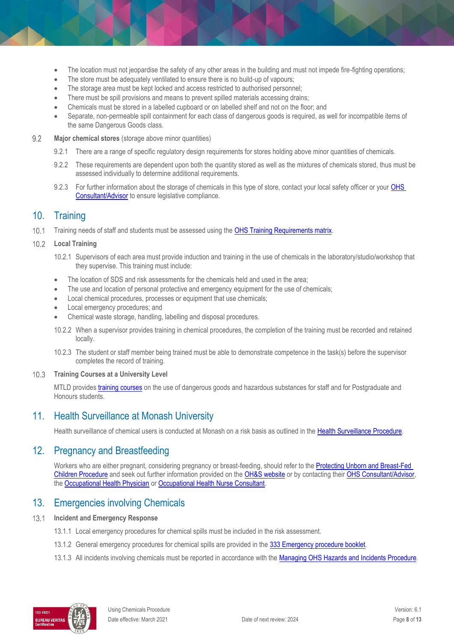- The location must not jeopardise the safety of any other areas in the building and must not impede fire-fighting operations;
- The store must be adequately ventilated to ensure there is no build-up of vapours;
- The storage area must be kept locked and access restricted to authorised personnel;
- There must be spill provisions and means to prevent spilled materials accessing drains;
- Chemicals must be stored in a labelled cupboard or on labelled shelf and not on the floor; and
- Separate, non-permeable spill containment for each class of dangerous goods is required, as well for incompatible items of the same Dangerous Goods class.
- $9.2$ **Major chemical stores** (storage above minor quantities)
	- 9.2.1 There are a range of specific regulatory design requirements for stores holding above minor quantities of chemicals.
	- 9.2.2 These requirements are dependent upon both the quantity stored as well as the mixtures of chemicals stored, thus must be assessed individually to determine additional requirements.
	- 9.2.3 For further information about the storage of chemicals in this type of store, contact your local safety officer or your OHS [Consultant/Advisor](http://monash.edu/ohs/AboutUs) to ensure legislative compliance.

### 10. Training

 $10.1$ Training needs of staff and students must be assessed using th[e OHS Training Requirements matrix.](http://www.monash.edu/__data/assets/pdf_file/0004/496030/ohs-training-guide.pdf)

#### $10.2$ **Local Training**

- 10.2.1 Supervisors of each area must provide induction and training in the use of chemicals in the laboratory/studio/workshop that they supervise. This training must include:
- The location of SDS and risk assessments for the chemicals held and used in the area;
- The use and location of personal protective and emergency equipment for the use of chemicals;
- Local chemical procedures, processes or equipment that use chemicals;
- Local emergency procedures; and
- Chemical waste storage, handling, labelling and disposal procedures.
- 10.2.2 When a supervisor provides training in chemical procedures, the completion of the training must be recorded and retained locally.
- 10.2.3 The student or staff member being trained must be able to demonstrate competence in the task(s) before the supervisor completes the record of training.

#### $10.3$ **Training Courses at a University Level**

MTLD provides *training courses* on the use of dangerous goods and hazardous substances for staff and for Postgraduate and Honours students.

### 11. Health Surveillance at Monash University

Health surveillance of chemical users is conducted at Monash on a risk basis as outlined in the [Health Surveillance Procedure.](https://publicpolicydms.monash.edu/Monash/documents/1935612)

### 12. Pregnancy and Breastfeeding

Workers who are either pregnant, considering pregnancy or breast-feeding, should refer to the **Protecting Unborn and Breast-Fed** [Children Procedure](https://publicpolicydms.monash.edu/Monash/documents/1935638) and seek out further information provided on th[e OH&S website](https://www.monash.edu/ohs/info-docs/safety-topics/events-and-people/pregnancy-and-work) or by contacting thei[r OHS Consultant/Advisor,](https://www.monash.edu/ohs/AboutUs) th[e Occupational Health Physician](https://www.monash.edu/ohs/AboutUs/health-wellbeing/physician) o[r Occupational Health Nurse Consultant.](https://www.monash.edu/ohs/AboutUs/health-wellbeing/nurse-consultants)

### 13. Emergencies involving Chemicals

#### $13.1$ **Incident and Emergency Response**

- 13.1.1 Local emergency procedures for chemical spills must be included in the risk assessment.
- 13.1.2 General emergency procedures for chemical spills are provided in the [333 Emergency procedure booklet.](http://www.monash.edu/ohs/info-docs/safety-topics/emergency-and-fire-safety)
- 13.1.3 All incidents involving chemicals must be reported in accordance with the [Managing OHS Hazards and Incidents Procedure.](https://publicpolicydms.monash.edu/Monash/documents/1935623)

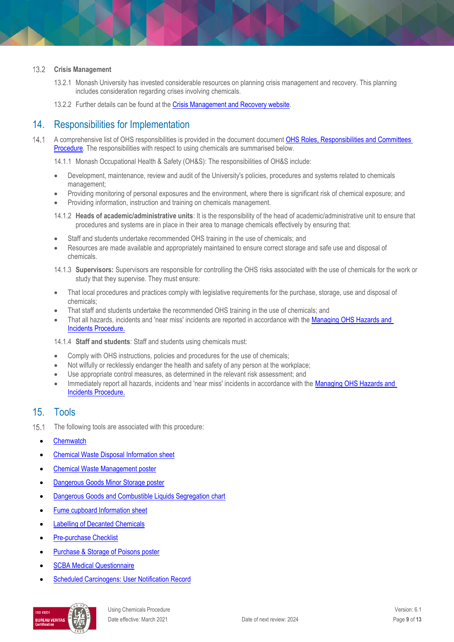#### $13.2$ **Crisis Management**

13.2.1 Monash University has invested considerable resources on planning crisis management and recovery. This planning includes consideration regarding crises involving chemicals.

13.2.2 Further details can be found at th[e Crisis Management and Recovery website.](https://adm.monash.edu/cmr/)

### 14. Responsibilities for Implementation

 $14.1$ A comprehensive list of OHS responsibilities is provided in the document document [OHS Roles, Responsibilities and Committees](https://publicpolicydms.monash.edu/Monash/documents/1935644)  [Procedure.](https://publicpolicydms.monash.edu/Monash/documents/1935644) The responsibilities with respect to using chemicals are summarised below.

14.1.1 Monash Occupational Health & Safety (OH&S): The responsibilities of OH&S include:

- Development, maintenance, review and audit of the University's policies, procedures and systems related to chemicals management;
- Providing monitoring of personal exposures and the environment, where there is significant risk of chemical exposure; and
- Providing information, instruction and training on chemicals management.
- 14.1.2 **Heads of academic/administrative units**: It is the responsibility of the head of academic/administrative unit to ensure that procedures and systems are in place in their area to manage chemicals effectively by ensuring that:
- Staff and students undertake recommended OHS training in the use of chemicals; and
- Resources are made available and appropriately maintained to ensure correct storage and safe use and disposal of chemicals.
- 14.1.3 **Supervisors:** Supervisors are responsible for controlling the OHS risks associated with the use of chemicals for the work or study that they supervise. They must ensure:
- That local procedures and practices comply with legislative requirements for the purchase, storage, use and disposal of chemicals;
- That staff and students undertake the recommended OHS training in the use of chemicals; and
- That all hazards, incidents and 'near miss' incidents are reported in accordance with the Managing OHS Hazards and [Incidents Procedure.](https://publicpolicydms.monash.edu/Monash/documents/1935623)
- 14.1.4 **Staff and students**: Staff and students using chemicals must:
- Comply with OHS instructions, policies and procedures for the use of chemicals;
- Not wilfully or recklessly endanger the health and safety of any person at the workplace;
- Use appropriate control measures, as determined in the relevant risk assessment; and
- Immediately report all hazards, incidents and 'near miss' incidents in accordance with the Managing OHS Hazards and [Incidents Procedure.](https://publicpolicydms.monash.edu/Monash/documents/1935623)

### 15. Tools

15.1 The following tools are associated with this procedure:

- **[Chemwatch](https://www.monash.edu/ohs/info-docs/safety-topics/chemical-management/chemwatch)**
- [Chemical Waste Disposal Information sheet](http://www.monash.edu/ohs/info-docs/safety-topics/chemical-management/waste-disposal)
- [Chemical Waste Management poster](http://www.monash.edu/__data/assets/pdf_file/0010/670609/chemical-waste-poster.pdf)
- [Dangerous Goods Minor Storage poster](https://www.monash.edu/__data/assets/pdf_file/0008/148589/Chemical-storage-poster.pdf)
- [Dangerous Goods and Combustible Liquids Segregation chart](https://www.monash.edu/__data/assets/pdf_file/0007/148588/Segregation-chart.pdf)
- [Fume cupboard Information sheet](https://www.monash.edu/ohs/info-docs/safety-topics/chemical-management/use-of-local-exhaust-ventilation-systems-fume-cupboards)
- [Labelling of Decanted Chemicals](http://www.monash.edu/ohs/info-docs/safety-topics/chemical-management/labelling-of-decanted-chemicals-ohs-information-sheet)
- [Pre-purchase Checklist](https://www.monash.edu/__data/assets/word_doc/0011/836291/Chemical-prepurchase-checklist.docx)
- [Purchase & Storage of Poisons poster](http://www.monash.edu/__data/assets/pdf_file/0003/150474/poisons.pdf)
- SCBA [Medical Questionnaire](https://www.monash.edu/__data/assets/word_doc/0004/1581745/SCBA-Medical-Questionnaire.docx)
- [Scheduled Carcinogens: User Notification Record](http://www.monash.edu/__data/assets/word_doc/0015/113712/carcinogen-user-forms.docx)

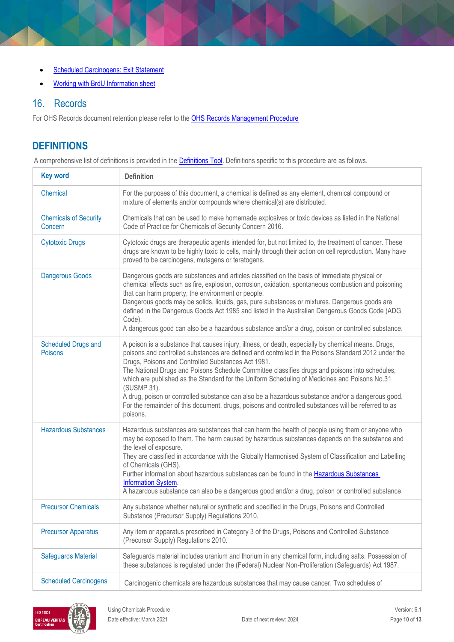- [Scheduled Carcinogens: Exit Statement](http://www.monash.edu/__data/assets/word_doc/0015/113712/carcinogen-user-forms.docx)
- [Working with BrdU Information sheet](https://www.monash.edu/ohs/info-docs/safety-topics/chemical-management/working-with-bromodeoxyuridine-brdu-ohs-information-sheet)

### 16. Records

For OHS Records document retention please refer to the **OHS Records Management Procedure** 

# **DEFINITIONS**

A comprehensive list of definitions is provided in the **Definitions Tool**. Definitions specific to this procedure are as follows.

| <b>Key word</b>                              | <b>Definition</b>                                                                                                                                                                                                                                                                                                                                                                                                                                                                                                                                                                                                                                                                                          |
|----------------------------------------------|------------------------------------------------------------------------------------------------------------------------------------------------------------------------------------------------------------------------------------------------------------------------------------------------------------------------------------------------------------------------------------------------------------------------------------------------------------------------------------------------------------------------------------------------------------------------------------------------------------------------------------------------------------------------------------------------------------|
| Chemical                                     | For the purposes of this document, a chemical is defined as any element, chemical compound or<br>mixture of elements and/or compounds where chemical(s) are distributed.                                                                                                                                                                                                                                                                                                                                                                                                                                                                                                                                   |
| <b>Chemicals of Security</b><br>Concern      | Chemicals that can be used to make homemade explosives or toxic devices as listed in the National<br>Code of Practice for Chemicals of Security Concern 2016.                                                                                                                                                                                                                                                                                                                                                                                                                                                                                                                                              |
| <b>Cytotoxic Drugs</b>                       | Cytotoxic drugs are therapeutic agents intended for, but not limited to, the treatment of cancer. These<br>drugs are known to be highly toxic to cells, mainly through their action on cell reproduction. Many have<br>proved to be carcinogens, mutagens or teratogens.                                                                                                                                                                                                                                                                                                                                                                                                                                   |
| <b>Dangerous Goods</b>                       | Dangerous goods are substances and articles classified on the basis of immediate physical or<br>chemical effects such as fire, explosion, corrosion, oxidation, spontaneous combustion and poisoning<br>that can harm property, the environment or people.<br>Dangerous goods may be solids, liquids, gas, pure substances or mixtures. Dangerous goods are<br>defined in the Dangerous Goods Act 1985 and listed in the Australian Dangerous Goods Code (ADG<br>Code).<br>A dangerous good can also be a hazardous substance and/or a drug, poison or controlled substance.                                                                                                                               |
| <b>Scheduled Drugs and</b><br><b>Poisons</b> | A poison is a substance that causes injury, illness, or death, especially by chemical means. Drugs,<br>poisons and controlled substances are defined and controlled in the Poisons Standard 2012 under the<br>Drugs, Poisons and Controlled Substances Act 1981.<br>The National Drugs and Poisons Schedule Committee classifies drugs and poisons into schedules,<br>which are published as the Standard for the Uniform Scheduling of Medicines and Poisons No.31<br>(SUSMP 31).<br>A drug, poison or controlled substance can also be a hazardous substance and/or a dangerous good.<br>For the remainder of this document, drugs, poisons and controlled substances will be referred to as<br>poisons. |
| <b>Hazardous Substances</b>                  | Hazardous substances are substances that can harm the health of people using them or anyone who<br>may be exposed to them. The harm caused by hazardous substances depends on the substance and<br>the level of exposure.<br>They are classified in accordance with the Globally Harmonised System of Classification and Labelling<br>of Chemicals (GHS).<br>Further information about hazardous substances can be found in the Hazardous Substances<br>Information System.<br>A hazardous substance can also be a dangerous good and/or a drug, poison or controlled substance.                                                                                                                           |
| <b>Precursor Chemicals</b>                   | Any substance whether natural or synthetic and specified in the Drugs, Poisons and Controlled<br>Substance (Precursor Supply) Regulations 2010.                                                                                                                                                                                                                                                                                                                                                                                                                                                                                                                                                            |
| <b>Precursor Apparatus</b>                   | Any item or apparatus prescribed in Category 3 of the Drugs, Poisons and Controlled Substance<br>(Precursor Supply) Regulations 2010.                                                                                                                                                                                                                                                                                                                                                                                                                                                                                                                                                                      |
| <b>Safeguards Material</b>                   | Safeguards material includes uranium and thorium in any chemical form, including salts. Possession of<br>these substances is regulated under the (Federal) Nuclear Non-Proliferation (Safeguards) Act 1987.                                                                                                                                                                                                                                                                                                                                                                                                                                                                                                |
| <b>Scheduled Carcinogens</b>                 | Carcinogenic chemicals are hazardous substances that may cause cancer. Two schedules of                                                                                                                                                                                                                                                                                                                                                                                                                                                                                                                                                                                                                    |

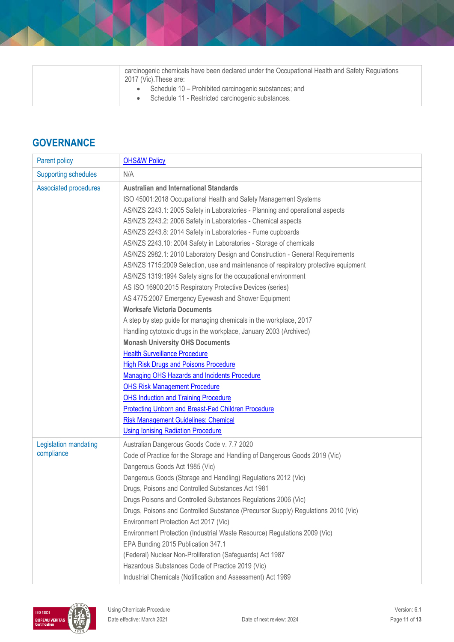| carcinogenic chemicals have been declared under the Occupational Health and Safety Regulations<br>2017 (Vic). These are: |  |
|--------------------------------------------------------------------------------------------------------------------------|--|
| Schedule 10 - Prohibited carcinogenic substances; and<br>Schedule 11 - Restricted carcinogenic substances.               |  |

# **GOVERNANCE**

| Parent policy               | <b>OHS&amp;W Policy</b>                                                             |  |  |
|-----------------------------|-------------------------------------------------------------------------------------|--|--|
| <b>Supporting schedules</b> | N/A                                                                                 |  |  |
| Associated procedures       | <b>Australian and International Standards</b>                                       |  |  |
|                             | ISO 45001:2018 Occupational Health and Safety Management Systems                    |  |  |
|                             | AS/NZS 2243.1: 2005 Safety in Laboratories - Planning and operational aspects       |  |  |
|                             | AS/NZS 2243.2: 2006 Safety in Laboratories - Chemical aspects                       |  |  |
|                             | AS/NZS 2243.8: 2014 Safety in Laboratories - Fume cupboards                         |  |  |
|                             | AS/NZS 2243.10: 2004 Safety in Laboratories - Storage of chemicals                  |  |  |
|                             | AS/NZS 2982.1: 2010 Laboratory Design and Construction - General Requirements       |  |  |
|                             | AS/NZS 1715:2009 Selection, use and maintenance of respiratory protective equipment |  |  |
|                             | AS/NZS 1319:1994 Safety signs for the occupational environment                      |  |  |
|                             | AS ISO 16900:2015 Respiratory Protective Devices (series)                           |  |  |
|                             | AS 4775:2007 Emergency Eyewash and Shower Equipment                                 |  |  |
|                             | <b>Worksafe Victoria Documents</b>                                                  |  |  |
|                             | A step by step guide for managing chemicals in the workplace, 2017                  |  |  |
|                             | Handling cytotoxic drugs in the workplace, January 2003 (Archived)                  |  |  |
|                             | <b>Monash University OHS Documents</b>                                              |  |  |
|                             | <b>Health Surveillance Procedure</b>                                                |  |  |
|                             | <b>High Risk Drugs and Poisons Procedure</b>                                        |  |  |
|                             | Managing OHS Hazards and Incidents Procedure                                        |  |  |
|                             | <b>OHS Risk Management Procedure</b>                                                |  |  |
|                             | <b>OHS Induction and Training Procedure</b>                                         |  |  |
|                             | Protecting Unborn and Breast-Fed Children Procedure                                 |  |  |
|                             | <b>Risk Management Guidelines: Chemical</b>                                         |  |  |
|                             | <b>Using lonising Radiation Procedure</b>                                           |  |  |
| Legislation mandating       | Australian Dangerous Goods Code v. 7.7 2020                                         |  |  |
| compliance                  | Code of Practice for the Storage and Handling of Dangerous Goods 2019 (Vic)         |  |  |
|                             | Dangerous Goods Act 1985 (Vic)                                                      |  |  |
|                             | Dangerous Goods (Storage and Handling) Regulations 2012 (Vic)                       |  |  |
|                             | Drugs, Poisons and Controlled Substances Act 1981                                   |  |  |
|                             | Drugs Poisons and Controlled Substances Regulations 2006 (Vic)                      |  |  |
|                             | Drugs, Poisons and Controlled Substance (Precursor Supply) Regulations 2010 (Vic)   |  |  |
|                             | Environment Protection Act 2017 (Vic)                                               |  |  |
|                             | Environment Protection (Industrial Waste Resource) Regulations 2009 (Vic)           |  |  |
|                             | EPA Bunding 2015 Publication 347.1                                                  |  |  |
|                             | (Federal) Nuclear Non-Proliferation (Safeguards) Act 1987                           |  |  |
|                             | Hazardous Substances Code of Practice 2019 (Vic)                                    |  |  |
|                             | Industrial Chemicals (Notification and Assessment) Act 1989                         |  |  |

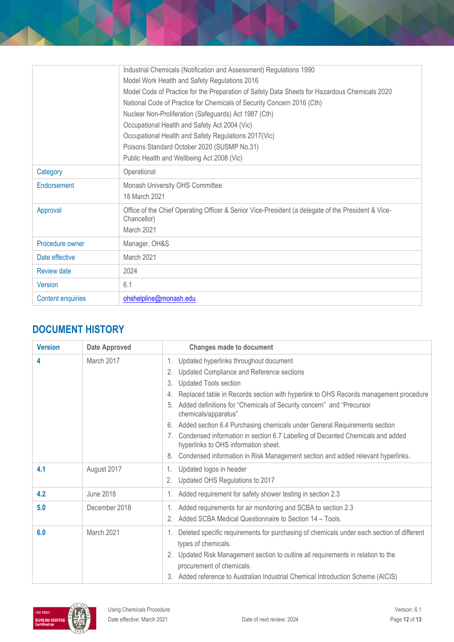|                          | Industrial Chemicals (Notification and Assessment) Regulations 1990                                               |
|--------------------------|-------------------------------------------------------------------------------------------------------------------|
|                          | Model Work Health and Safety Regulations 2016                                                                     |
|                          | Model Code of Practice for the Preparation of Safety Data Sheets for Hazardous Chemicals 2020                     |
|                          | National Code of Practice for Chemicals of Security Concern 2016 (Cth)                                            |
|                          | Nuclear Non-Proliferation (Safeguards) Act 1987 (Cth)                                                             |
|                          | Occupational Health and Safety Act 2004 (Vic)                                                                     |
|                          | Occupational Health and Safety Regulations 2017(Vic)                                                              |
|                          | Poisons Standard October 2020 (SUSMP No.31)                                                                       |
|                          | Public Health and Wellbeing Act 2008 (Vic)                                                                        |
| Category                 | Operational                                                                                                       |
| Endorsement              | Monash University OHS Committee                                                                                   |
|                          | 18 March 2021                                                                                                     |
| Approval                 | Office of the Chief Operating Officer & Senior Vice-President (a delegate of the President & Vice-<br>Chancellor) |
|                          | March 2021                                                                                                        |
| Procedure owner          | Manager, OH&S                                                                                                     |
| Date effective           | March 2021                                                                                                        |
| <b>Review date</b>       | 2024                                                                                                              |
| Version                  | 6.1                                                                                                               |
| <b>Content enquiries</b> | ohshelpline@monash.edu                                                                                            |

# **DOCUMENT HISTORY**

| <b>Version</b> | <b>Date Approved</b> | <b>Changes made to document</b>                                                                                                                                                                                                                                                                                                                                                                                                                                                                                                                                                                                                              |
|----------------|----------------------|----------------------------------------------------------------------------------------------------------------------------------------------------------------------------------------------------------------------------------------------------------------------------------------------------------------------------------------------------------------------------------------------------------------------------------------------------------------------------------------------------------------------------------------------------------------------------------------------------------------------------------------------|
| 4              | March 2017           | 1. Updated hyperlinks throughout document<br>Updated Compliance and Reference sections<br>2.<br>3.<br><b>Updated Tools section</b><br>Replaced table in Records section with hyperlink to OHS Records management procedure<br>4.<br>5. Added definitions for "Chemicals of Security concern" and "Precursor<br>chemicals/apparatus"<br>6. Added section 6.4 Purchasing chemicals under General Requirements section<br>Condensed information in section 6.7 Labelling of Decanted Chemicals and added<br>7.<br>hyperlinks to OHS information sheet.<br>Condensed information in Risk Management section and added relevant hyperlinks.<br>8. |
| 4.1            | August 2017          | Updated logos in header<br>$1_{1}$<br>Updated OHS Regulations to 2017<br>2.                                                                                                                                                                                                                                                                                                                                                                                                                                                                                                                                                                  |
| 4.2            | <b>June 2018</b>     | Added requirement for safety shower testing in section 2.3                                                                                                                                                                                                                                                                                                                                                                                                                                                                                                                                                                                   |
| 5.0            | December 2018        | 1. Added requirements for air monitoring and SCBA to section 2.3<br>Added SCBA Medical Questionnaire to Section 14 - Tools.<br>2.                                                                                                                                                                                                                                                                                                                                                                                                                                                                                                            |
| 6.0            | March 2021           | Deleted specific requirements for purchasing of chemicals under each section of different<br>types of chemicals.<br>2. Updated Risk Management section to outline all requirements in relation to the<br>procurement of chemicals.<br>3. Added reference to Australian Industrial Chemical Introduction Scheme (AICIS)                                                                                                                                                                                                                                                                                                                       |